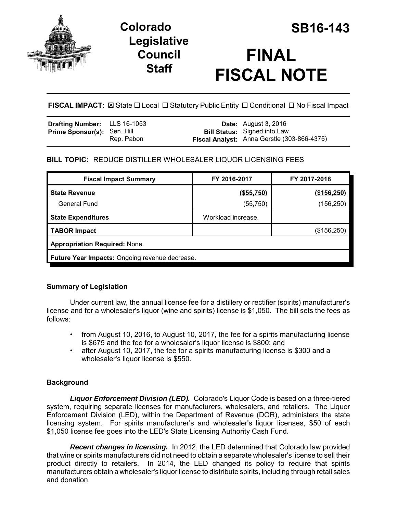

# **Colorado SB16-143 Legislative Council Staff**

# **FINAL FISCAL NOTE**

**FISCAL IMPACT:**  $\boxtimes$  State  $\Box$  Local  $\Box$  Statutory Public Entity  $\Box$  Conditional  $\Box$  No Fiscal Impact

| <b>Drafting Number:</b> LLS 16-1053 |            | <b>Date:</b> August 3, 2016                                                        |
|-------------------------------------|------------|------------------------------------------------------------------------------------|
| <b>Prime Sponsor(s): Sen. Hill</b>  | Rep. Pabon | <b>Bill Status:</b> Signed into Law<br>Fiscal Analyst: Anna Gerstle (303-866-4375) |

# **BILL TOPIC:** REDUCE DISTILLER WHOLESALER LIQUOR LICENSING FEES

| <b>Fiscal Impact Summary</b>                   | FY 2016-2017       | FY 2017-2018 |  |  |  |  |  |
|------------------------------------------------|--------------------|--------------|--|--|--|--|--|
| <b>State Revenue</b>                           | ( \$55,750)        | (\$156,250)  |  |  |  |  |  |
| <b>General Fund</b>                            | (55, 750)          | (156,250)    |  |  |  |  |  |
| <b>State Expenditures</b>                      | Workload increase. |              |  |  |  |  |  |
| <b>TABOR Impact</b>                            |                    | (\$156,250)  |  |  |  |  |  |
| <b>Appropriation Required: None.</b>           |                    |              |  |  |  |  |  |
| Future Year Impacts: Ongoing revenue decrease. |                    |              |  |  |  |  |  |

# **Summary of Legislation**

Under current law, the annual license fee for a distillery or rectifier (spirits) manufacturer's license and for a wholesaler's liquor (wine and spirits) license is \$1,050. The bill sets the fees as follows:

- from August 10, 2016, to August 10, 2017, the fee for a spirits manufacturing license is \$675 and the fee for a wholesaler's liquor license is \$800; and
- after August 10, 2017, the fee for a spirits manufacturing license is \$300 and a wholesaler's liquor license is \$550.

# **Background**

*Liquor Enforcement Division (LED).* Colorado's Liquor Code is based on a three-tiered system, requiring separate licenses for manufacturers, wholesalers, and retailers. The Liquor Enforcement Division (LED), within the Department of Revenue (DOR), administers the state licensing system. For spirits manufacturer's and wholesaler's liquor licenses, \$50 of each \$1,050 license fee goes into the LED's State Licensing Authority Cash Fund.

*Recent changes in licensing.* In 2012, the LED determined that Colorado law provided that wine or spirits manufacturers did not need to obtain a separate wholesaler's license to sell their product directly to retailers. In 2014, the LED changed its policy to require that spirits manufacturers obtain a wholesaler's liquor license to distribute spirits, including through retail sales and donation.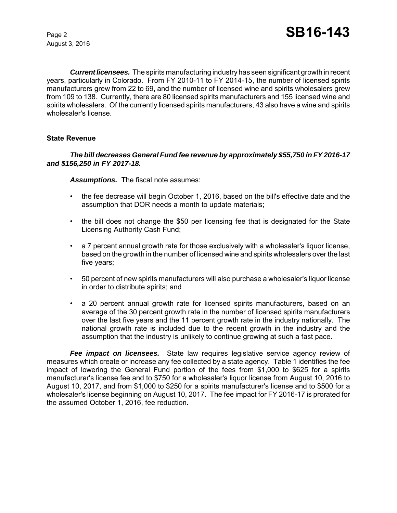August 3, 2016

*Current licensees.* The spirits manufacturing industry has seen significant growth in recent years, particularly in Colorado. From FY 2010-11 to FY 2014-15, the number of licensed spirits manufacturers grew from 22 to 69, and the number of licensed wine and spirits wholesalers grew from 109 to 138. Currently, there are 80 licensed spirits manufacturers and 155 licensed wine and spirits wholesalers. Of the currently licensed spirits manufacturers, 43 also have a wine and spirits wholesaler's license.

#### **State Revenue**

#### *The bill decreases General Fund fee revenue by approximately \$55,750 in FY 2016-17 and \$156,250 in FY 2017-18.*

*Assumptions.* The fiscal note assumes:

- the fee decrease will begin October 1, 2016, based on the bill's effective date and the assumption that DOR needs a month to update materials;
- the bill does not change the \$50 per licensing fee that is designated for the State Licensing Authority Cash Fund;
- a 7 percent annual growth rate for those exclusively with a wholesaler's liquor license, based on the growth in the number of licensed wine and spirits wholesalers over the last five years;
- 50 percent of new spirits manufacturers will also purchase a wholesaler's liquor license in order to distribute spirits; and
- a 20 percent annual growth rate for licensed spirits manufacturers, based on an average of the 30 percent growth rate in the number of licensed spirits manufacturers over the last five years and the 11 percent growth rate in the industry nationally. The national growth rate is included due to the recent growth in the industry and the assumption that the industry is unlikely to continue growing at such a fast pace.

*Fee impact on licensees.* State law requires legislative service agency review of measures which create or increase any fee collected by a state agency. Table 1 identifies the fee impact of lowering the General Fund portion of the fees from \$1,000 to \$625 for a spirits manufacturer's license fee and to \$750 for a wholesaler's liquor license from August 10, 2016 to August 10, 2017, and from \$1,000 to \$250 for a spirits manufacturer's license and to \$500 for a wholesaler's license beginning on August 10, 2017. The fee impact for FY 2016-17 is prorated for the assumed October 1, 2016, fee reduction.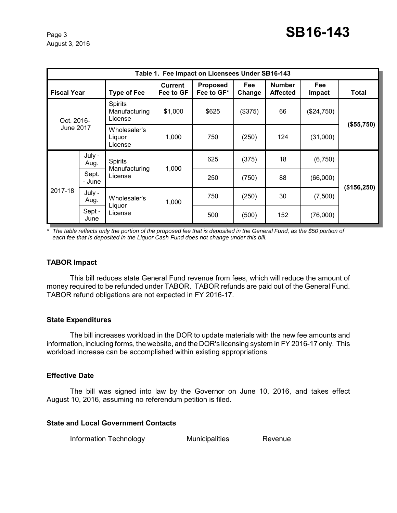August 3, 2016

| Table 1. Fee Impact on Licensees Under SB16-143 |                 |                                            |                             |                               |                      |                                  |                      |             |  |  |  |
|-------------------------------------------------|-----------------|--------------------------------------------|-----------------------------|-------------------------------|----------------------|----------------------------------|----------------------|-------------|--|--|--|
| <b>Fiscal Year</b>                              |                 | <b>Type of Fee</b>                         | <b>Current</b><br>Fee to GF | <b>Proposed</b><br>Fee to GF* | <b>Fee</b><br>Change | <b>Number</b><br><b>Affected</b> | <b>Fee</b><br>Impact | Total       |  |  |  |
| Oct. 2016-<br>June 2017                         |                 | <b>Spirits</b><br>Manufacturing<br>License | \$1,000                     | \$625                         | (\$375)              | 66                               | (\$24,750)           | (\$55,750)  |  |  |  |
|                                                 |                 | Wholesaler's<br>Liguor<br>License          | 1,000                       | 750                           | (250)                | 124                              | (31,000)             |             |  |  |  |
| 2017-18                                         | July -<br>Aug.  | <b>Spirits</b><br>Manufacturing<br>License | 1,000                       | 625                           | (375)                | 18                               | (6,750)              | (\$156,250) |  |  |  |
|                                                 | Sept.<br>- June |                                            |                             | 250                           | (750)                | 88                               | (66,000)             |             |  |  |  |
|                                                 | July -<br>Aug.  | Wholesaler's<br>Liquor<br>License          | 1,000                       | 750                           | (250)                | 30                               | (7,500)              |             |  |  |  |
|                                                 | Sept -<br>June  |                                            |                             | 500                           | (500)                | 152                              | (76,000)             |             |  |  |  |

*\* The table reflects only the portion of the proposed fee that is deposited in the General Fund, as the \$50 portion of each fee that is deposited in the Liquor Cash Fund does not change under this bill.* 

#### **TABOR Impact**

This bill reduces state General Fund revenue from fees, which will reduce the amount of money required to be refunded under TABOR. TABOR refunds are paid out of the General Fund. TABOR refund obligations are not expected in FY 2016-17.

#### **State Expenditures**

The bill increases workload in the DOR to update materials with the new fee amounts and information, including forms, the website, and the DOR's licensing system in FY 2016-17 only. This workload increase can be accomplished within existing appropriations.

#### **Effective Date**

The bill was signed into law by the Governor on June 10, 2016, and takes effect August 10, 2016, assuming no referendum petition is filed.

#### **State and Local Government Contacts**

Information Technology Municipalities Revenue